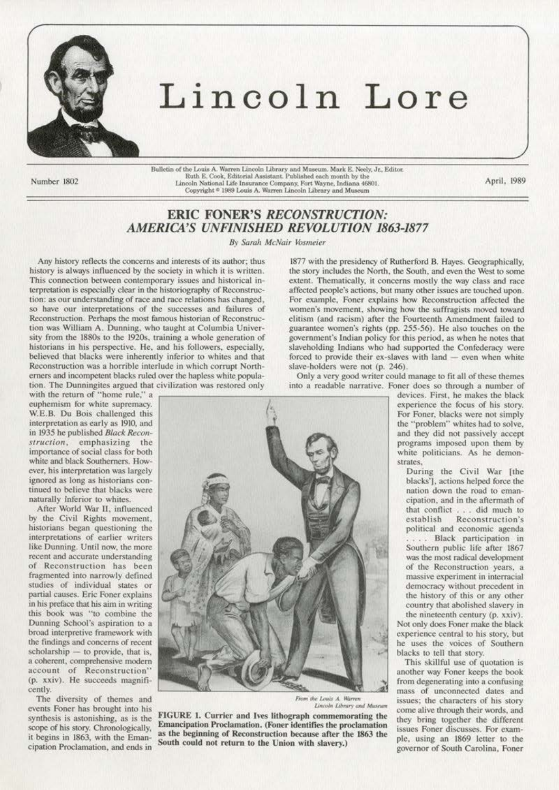

## Lincoln Lore

Number 1802

Bulletin of the Louis A. Warren Lincoln Library and Museum. Mark E. Neely, Jr., Editor. Ruth E. Cook, Editorial Assistant. Published each month by the Lincoln National Life Insurance Company, Fort Wayne, Indiana 46801. Copyright  $^{\circ}$  1989 Louis A. Warren Lincoln Library and Museum

April, 1989

## **ERIC FONER'S RECONSTRUCTION: AMERICA'S UNFINISHED REVOLUTION 1863-1877**

By Sarah McNair Vosmeier

Any history reflects the concerns and interests of its author; thus history is always influenced by the society in which it is written. This connection between contemporary issues and historical interpretation is especially clear in the historiography of Reconstruction: as our understanding of race and race relations has changed, so have our interpretations of the successes and failures of Reconstruction. Perhaps the most famous historian of Reconstruction was William A. Dunning, who taught at Columbia University from the 1880s to the 1920s, training a whole generation of historians in his perspective. He, and his followers, especially, believed that blacks were inherently inferior to whites and that Reconstruction was a horrible interlude in which corrupt Northerners and incompetent blacks ruled over the hapless white population. The Dunningites argued that civilization was restored only

with the return of "home rule," a euphemism for white supremacy. W.E.B. Du Bois challenged this interpretation as early as 1910, and in 1935 he published Black Reconstruction, emphasizing the importance of social class for both white and black Southerners. However, his interpretation was largely ignored as long as historians continued to believe that blacks were naturally inferior to whites.

After World War II, influenced by the Civil Rights movement, historians began questioning the interpretations of earlier writers like Dunning. Until now, the more recent and accurate understanding of Reconstruction has been fragmented into narrowly defined studies of individual states or partial causes. Eric Foner explains in his preface that his aim in writing this book was "to combine the Dunning School's aspiration to a broad interpretive framework with the findings and concerns of recent scholarship - to provide, that is, a coherent, comprehensive modern account of Reconstruction" (p. xxiv). He succeeds magnificently.

The diversity of themes and events Foner has brought into his synthesis is astonishing, as is the scope of his story. Chronologically, it begins in 1863, with the Emancipation Proclamation, and ends in



From the Louis A. Warren Lincoln Library and Museum

FIGURE 1. Currier and Ives lithograph commemorating the Emancipation Proclamation. (Foner identifies the proclamation as the beginning of Reconstruction because after the 1863 the South could not return to the Union with slavery.)

1877 with the presidency of Rutherford B. Hayes. Geographically, the story includes the North, the South, and even the West to some extent. Thematically, it concerns mostly the way class and race affected people's actions, but many other issues are touched upon. For example, Foner explains how Reconstruction affected the women's movement, showing how the suffragists moved toward elitism (and racism) after the Fourteenth Amendment failed to guarantee women's rights (pp. 255-56). He also touches on the government's Indian policy for this period, as when he notes that slaveholding Indians who had supported the Confederacy were forced to provide their ex-slaves with land - even when white slave-holders were not (p. 246).

Only a very good writer could manage to fit all of these themes into a readable narrative. Foner does so through a number of

devices. First, he makes the black experience the focus of his story. For Foner, blacks were not simply the "problem" whites had to solve, and they did not passively accept programs imposed upon them by white politicians. As he demonstrates.

During the Civil War [the blacks'], actions helped force the nation down the road to emancipation, and in the aftermath of that conflict . . . did much to establish Reconstruction's political and economic agenda ... Black participation in Southern public life after 1867 was the most radical development of the Reconstruction years, a massive experiment in interracial democracy without precedent in the history of this or any other country that abolished slavery in

the nineteenth century (p. xxiv). Not only does Foner make the black experience central to his story, but he uses the voices of Southern blacks to tell that story.

This skillful use of quotation is another way Foner keeps the book from degenerating into a confusing mass of unconnected dates and issues; the characters of his story come alive through their words, and they bring together the different issues Foner discusses. For example, using an 1869 letter to the governor of South Carolina, Foner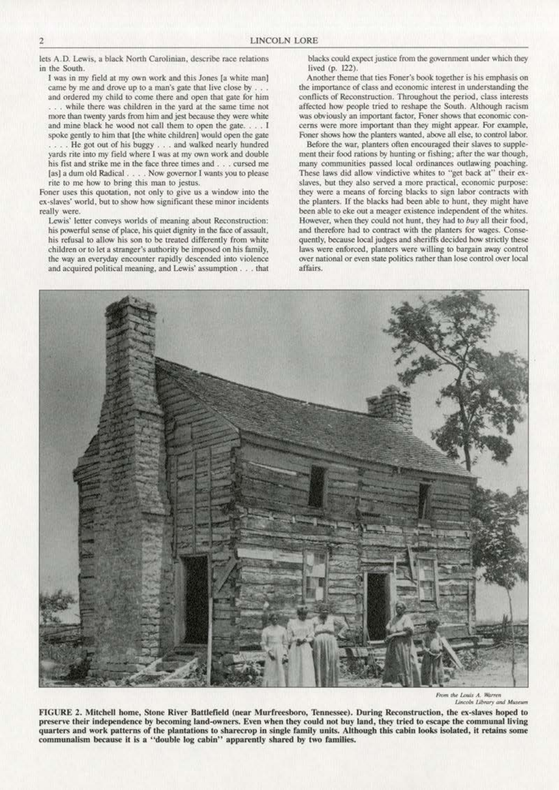lets A.D. Lewis, a black North Carolinian, describe race relations in the South.

I was in my field at my own work and this Jones [a white man] came by me and drove up to a man's gate that live close by . . . and ordered my child to come there and open that gate for him ... while there was children in the yard at the same time not more than twenty vards from him and jest because they were white and mine black he wood not call them to open the gate. . . . I spoke gently to him that [the white children] would open the gate ... He got out of his buggy . . . and walked nearly hundred yards rite into my field where I was at my own work and double his fist and strike me in the face three times and . . . cursed me [as] a dum old Radical . . . . Now governor I wants you to please rite to me how to bring this man to jestus.

Foner uses this quotation, not only to give us a window into the ex-slaves' world, but to show how significant these minor incidents really were.

Lewis' letter conveys worlds of meaning about Reconstruction: his powerful sense of place, his quiet dignity in the face of assault, his refusal to allow his son to be treated differently from white children or to let a stranger's authority be imposed on his family, the way an everyday encounter rapidly descended into violence and acquired political meaning, and Lewis' assumption . . . that blacks could expect justice from the government under which they lived (p. 122).

Another theme that ties Foner's book together is his emphasis on the importance of class and economic interest in understanding the conflicts of Reconstruction. Throughout the period, class interests affected how people tried to reshape the South. Although racism was obviously an important factor, Foner shows that economic concerns were more important than they might appear. For example, Foner shows how the planters wanted, above all else, to control labor.

Before the war, planters often encouraged their slaves to supplement their food rations by hunting or fishing; after the war though, many communities passed local ordinances outlawing poaching. These laws did allow vindictive whites to "get back at" their exslaves, but they also served a more practical, economic purpose: they were a means of forcing blacks to sign labor contracts with the planters. If the blacks had been able to hunt, they might have been able to eke out a meager existence independent of the whites. However, when they could not hunt, they had to buy all their food, and therefore had to contract with the planters for wages. Consequently, because local judges and sheriffs decided how strictly these laws were enforced, planters were willing to bargain away control over national or even state politics rather than lose control over local affairs.

From the Louis A. Warren Lincoln Library and Museum

FIGURE 2. Mitchell home, Stone River Battlefield (near Murfreesboro, Tennessee). During Reconstruction, the ex-slaves hoped to preserve their independence by becoming land-owners. Even when they could not buy land, they tried to escape the communal living quarters and work patterns of the plantations to sharecrop in single family units. Although this cabin looks isolated, it retains some communalism because it is a "double log cabin" apparently shared by two families.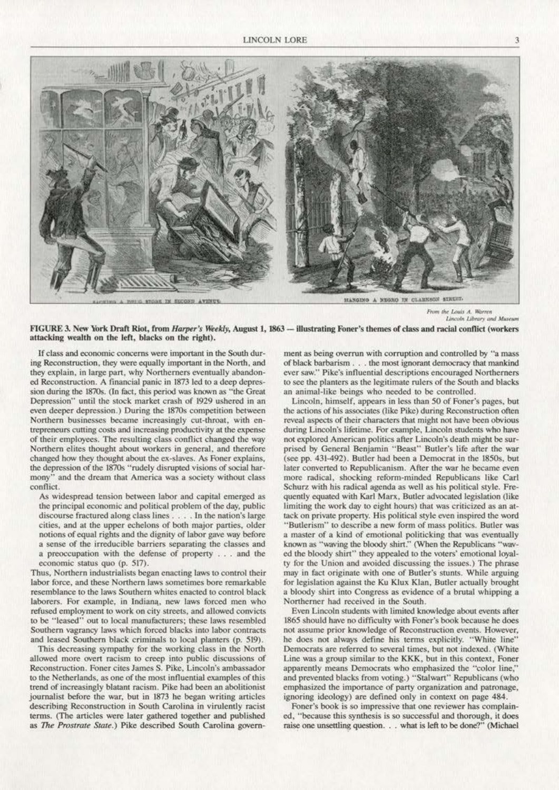

LIGTING A BUILD STORE IN ENCOUR AVENUE

HANGING A NEGRO IN CLARKSON STREET.

From the Louis A. Warren Lincoln Library and Museum

FIGURE 3. New York Draft Riot, from *Harper's Weekly*, August 1, 1863 - illustrating Foner's themes of class and racial conflict (workers attacking wealth on the left, blacks on the right).

If class and economic concerns were important in the South during Reconstruction, they were equally important in the North, and they explain, in large part, why Northerners eventually abandoned Reconstruction. A financial panic in 1873 led to a deep depression during the 1870s. (In fact, this period was known as "the Great Depression" until the stock market crash of 1929 ushered in an even deeper depression.) During the 1870s competition between Northern businesses became increasingly cut-throat, with entrepreneurs cutting costs and increasing productivity at the expense of their employees. The resulting class conflict changed the way Northern elites thought about workers in general, and therefore changed how they thought about the ex-slaves. As Foner explains, the depression of the 1870s "rudely disrupted visions of social harmony" and the dream that America was a society without class conflict.

As widespread tension between labor and capital emerged as the principal economic and political problem of the day, public discourse fractured along class lines . . . . In the nation's large cities, and at the upper echelons of both major parties, older notions of equal rights and the dignity of labor gave way before a sense of the irreducible barriers separating the classes and a preoccupation with the defense of property . . . and the economic status quo (p. 517).

Thus, Northern industrialists began enacting laws to control their labor force, and these Northern laws sometimes bore remarkable resemblance to the laws Southern whites enacted to control black laborers. For example, in Indiana, new laws forced men who refused employment to work on city streets, and allowed convicts to be "leased" out to local manufacturers; these laws resembled Southern vagrancy laws which forced blacks into labor contracts and leased Southern black criminals to local planters (p. 519).

This decreasing sympathy for the working class in the North allowed more overt racism to creep into public discussions of Reconstruction. Foner cites James S. Pike, Lincoln's ambassador to the Netherlands, as one of the most influential examples of this trend of increasingly blatant racism. Pike had been an abolitionist journalist before the war, but in 1873 he began writing articles describing Reconstruction in South Carolina in virulently racist terms. (The articles were later gathered together and published as The Prostrate State.) Pike described South Carolina government as being overrun with corruption and controlled by "a mass of black barbarism . . . the most ignorant democracy that mankind ever saw." Pike's influential descriptions encouraged Northerners to see the planters as the legitimate rulers of the South and blacks an animal-like beings who needed to be controlled.

Lincoln, himself, appears in less than 50 of Foner's pages, but the actions of his associates (like Pike) during Reconstruction often reveal aspects of their characters that might not have been obvious during Lincoln's lifetime. For example, Lincoln students who have not explored American politics after Lincoln's death might be surprised by General Benjamin "Beast" Butler's life after the war (see pp. 431-492). Butler had been a Democrat in the 1850s, but later converted to Republicanism. After the war he became even more radical, shocking reform-minded Republicans like Carl Schurz with his radical agenda as well as his political style. Frequently equated with Karl Marx, Butler advocated legislation (like limiting the work day to eight hours) that was criticized as an attack on private property. His political style even inspired the word "Butlerism" to describe a new form of mass politics. Butler was a master of a kind of emotional politicking that was eventually known as "waving the bloody shirt." (When the Republicans "waved the bloody shirt" they appealed to the voters' emotional loyalty for the Union and avoided discussing the issues.) The phrase may in fact originate with one of Butler's stunts. While arguing for legislation against the Ku Klux Klan, Butler actually brought a bloody shirt into Congress as evidence of a brutal whipping a Northerner had received in the South.

Even Lincoln students with limited knowledge about events after 1865 should have no difficulty with Foner's book because he does not assume prior knowledge of Reconstruction events. However, he does not always define his terms explicitly. "White line" Democrats are referred to several times, but not indexed. (White Line was a group similar to the KKK, but in this context, Foner apparently means Democrats who emphasized the "color line," and prevented blacks from voting.) "Stalwart" Republicans (who emphasized the importance of party organization and patronage, ignoring ideology) are defined only in context on page 484.

Foner's book is so impressive that one reviewer has complained, "because this synthesis is so successful and thorough, it does raise one unsettling question. . . what is left to be done?" (Michael